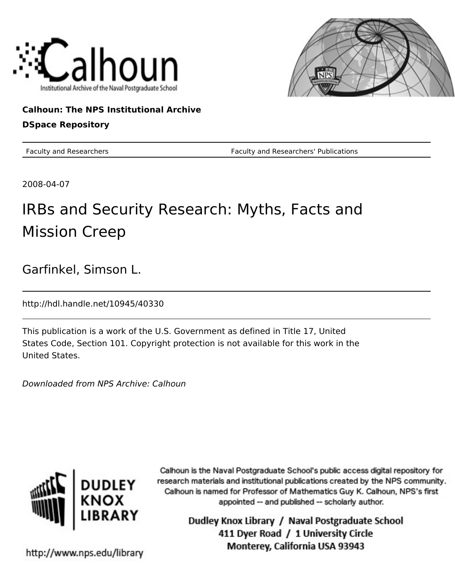



**Calhoun: The NPS Institutional Archive DSpace Repository**

Faculty and Researchers Faculty and Researchers' Publications

2008-04-07

# IRBs and Security Research: Myths, Facts and Mission Creep

Garfinkel, Simson L.

http://hdl.handle.net/10945/40330

This publication is a work of the U.S. Government as defined in Title 17, United States Code, Section 101. Copyright protection is not available for this work in the United States.

Downloaded from NPS Archive: Calhoun



Calhoun is the Naval Postgraduate School's public access digital repository for research materials and institutional publications created by the NPS community. Calhoun is named for Professor of Mathematics Guy K. Calhoun, NPS's first appointed -- and published -- scholarly author.

> Dudley Knox Library / Naval Postgraduate School 411 Dyer Road / 1 University Circle Monterey, California USA 93943

http://www.nps.edu/library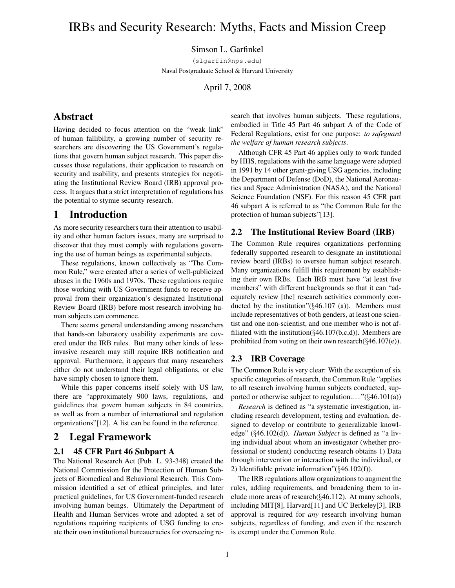## IRBs and Security Research: Myths, Facts and Mission Creep

## Simson L. Garfinkel

(slgarfin@nps.edu) Naval Postgraduate School & Harvard University

April 7, 2008

## Abstract

Having decided to focus attention on the "weak link" of human fallibility, a growing number of security researchers are discovering the US Government's regulations that govern human subject research. This paper discusses those regulations, their application to research on security and usability, and presents strategies for negotiating the Institutional Review Board (IRB) approval process. It argues that a strict interpretation of regulations has the potential to stymie security research.

## 1 Introduction

As more security researchers turn their attention to usability and other human factors issues, many are surprised to discover that they must comply with regulations governing the use of human beings as experimental subjects.

These regulations, known collectively as "The Common Rule," were created after a series of well-publicized abuses in the 1960s and 1970s. These regulations require those working with US Government funds to receive approval from their organization's designated Institutional Review Board (IRB) before most research involving human subjects can commence.

There seems general understanding among researchers that hands-on laboratory usability experiments are covered under the IRB rules. But many other kinds of lessinvasive research may still require IRB notification and approval. Furthermore, it appears that many researchers either do not understand their legal obligations, or else have simply chosen to ignore them.

While this paper concerns itself solely with US law, there are "approximately 900 laws, regulations, and guidelines that govern human subjects in 84 countries, as well as from a number of international and regulation organizations"[12]. A list can be found in the reference.

## 2 Legal Framework

#### 2.1 45 CFR Part 46 Subpart A

The National Research Act (Pub. L. 93-348) created the National Commission for the Protection of Human Subjects of Biomedical and Behavioral Research. This Commission identified a set of ethical principles, and later practical guidelines, for US Government-funded research involving human beings. Ultimately the Department of Health and Human Services wrote and adopted a set of regulations requiring recipients of USG funding to create their own institutional bureaucracies for overseeing research that involves human subjects. These regulations, embodied in Title 45 Part 46 subpart A of the Code of Federal Regulations, exist for one purpose: *to safeguard the welfare of human research subjects*.

Although CFR 45 Part 46 applies only to work funded by HHS, regulations with the same language were adopted in 1991 by 14 other grant-giving USG agencies, including the Department of Defense (DoD), the National Aeronautics and Space Administration (NASA), and the National Science Foundation (NSF). For this reason 45 CFR part 46 subpart A is referred to as "the Common Rule for the protection of human subjects"[13].

#### 2.2 The Institutional Review Board (IRB)

The Common Rule requires organizations performing federally supported research to designate an institutional review board (IRBs) to oversee human subject research. Many organizations fulfill this requirement by establishing their own IRBs. Each IRB must have "at least five members" with different backgrounds so that it can "adequately review [the] research activities commonly conducted by the institution" $(\S 46.107)$  (a)). Members must include representatives of both genders, at least one scientist and one non-scientist, and one member who is not affiliated with the institution( $\S 46.107(b,c,d)$ ). Members are prohibited from voting on their own research(§46.107(e)).

#### 2.3 IRB Coverage

The Common Rule is very clear: With the exception of six specific categories of research, the Common Rule "applies to all research involving human subjects conducted, supported or otherwise subject to regulation...." $(\S 46.101(a))$ 

*Research* is defined as "a systematic investigation, including research development, testing and evaluation, designed to develop or contribute to generalizable knowledge" (§46.102(d)). *Human Subject* is defined as "a living individual about whom an investigator (whether professional or student) conducting research obtains 1) Data through intervention or interaction with the individual, or 2) Identifiable private information"(§46.102(f)).

The IRB regulations allow organizations to augment the rules, adding requirements, and broadening them to include more areas of research(§46.112). At many schools, including MIT[8], Harvard[11] and UC Berkeley[3], IRB approval is required for *any* research involving human subjects, regardless of funding, and even if the research is exempt under the Common Rule.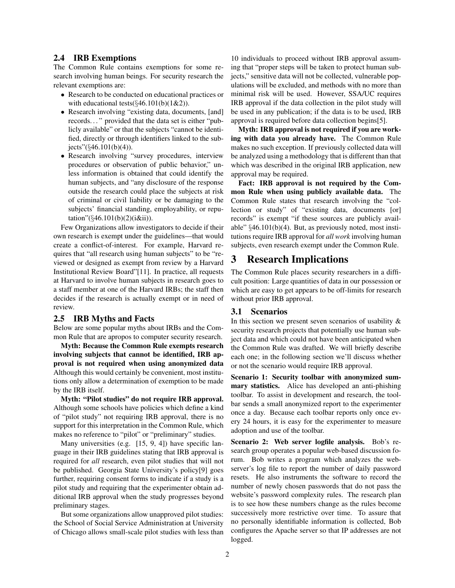#### 2.4 IRB Exemptions

The Common Rule contains exemptions for some research involving human beings. For security research the relevant exemptions are:

- Research to be conducted on educational practices or with educational tests( $\S 46.101(b)(1&&2)$ ).
- Research involving "existing data, documents, [and] records. . . " provided that the data set is either "publicly available" or that the subjects "cannot be identified, directly or through identifiers linked to the subjects" $(\frac{6}{46.101(b)(4)}).$
- Research involving "survey procedures, interview procedures or observation of public behavior," unless information is obtained that could identify the human subjects, and "any disclosure of the response outside the research could place the subjects at risk of criminal or civil liability or be damaging to the subjects' financial standing, employability, or reputation" $(\frac{6}{46.101(b)(2)(i\&i))}$ .

Few Organizations allow investigators to decide if their own research is exempt under the guidelines—that would create a conflict-of-interest. For example, Harvard requires that "all research using human subjects" to be "reviewed or designed as exempt from review by a Harvard Institutional Review Board"[11]. In practice, all requests at Harvard to involve human subjects in research goes to a staff member at one of the Harvard IRBs; the staff then decides if the research is actually exempt or in need of review.

#### 2.5 IRB Myths and Facts

Below are some popular myths about IRBs and the Common Rule that are apropos to computer security research.

Myth: Because the Common Rule exempts research involving subjects that cannot be identified, IRB approval is not required when using anonymized data Although this would certainly be convenient, most institutions only allow a determination of exemption to be made by the IRB itself.

Myth: "Pilot studies" do not require IRB approval. Although some schools have policies which define a kind of "pilot study" not requiring IRB approval, there is no support for this interpretation in the Common Rule, which makes no reference to "pilot" or "preliminary" studies.

Many universities (e.g. [15, 9, 4]) have specific language in their IRB guidelines stating that IRB approval is required for *all* research, even pilot studies that will not be published. Georgia State University's policy[9] goes further, requiring consent forms to indicate if a study is a pilot study and requiring that the experimenter obtain additional IRB approval when the study progresses beyond preliminary stages.

But some organizations allow unapproved pilot studies: the School of Social Service Administration at University of Chicago allows small-scale pilot studies with less than

10 individuals to proceed without IRB approval assuming that "proper steps will be taken to protect human subjects," sensitive data will not be collected, vulnerable populations will be excluded, and methods with no more than minimal risk will be used. However, SSA/UC requires IRB approval if the data collection in the pilot study will be used in any publication; if the data is to be used, IRB approval is required before data collection begins[5].

Myth: IRB approval is not required if you are working with data you already have. The Common Rule makes no such exception. If previously collected data will be analyzed using a methodology that is different than that which was described in the original IRB application, new approval may be required.

Fact: IRB approval is not required by the Common Rule when using publicly available data. The Common Rule states that research involving the "collection or study" of "existing data, documents [or] records" is exempt "if these sources are publicly available" §46.101(b)(4). But, as previously noted, most institutions require IRB approval for *all work* involving human subjects, even research exempt under the Common Rule.

## 3 Research Implications

The Common Rule places security researchers in a difficult position: Large quantities of data in our possession or which are easy to get appears to be off-limits for research without prior IRB approval.

#### 3.1 Scenarios

In this section we present seven scenarios of usability & security research projects that potentially use human subject data and which could not have been anticipated when the Common Rule was drafted. We will briefly describe each one; in the following section we'll discuss whether or not the scenario would require IRB approval.

Scenario 1: Security toolbar with anonymized summary statistics. Alice has developed an anti-phishing toolbar. To assist in development and research, the toolbar sends a small anonymized report to the experimenter once a day. Because each toolbar reports only once every 24 hours, it is easy for the experimenter to measure adoption and use of the toolbar.

Scenario 2: Web server logfile analysis. Bob's research group operates a popular web-based discussion forum. Bob writes a program which analyzes the webserver's log file to report the number of daily password resets. He also instruments the software to record the number of newly chosen passwords that do not pass the website's password complexity rules. The research plan is to see how these numbers change as the rules become successively more restrictive over time. To assure that no personally identifiable information is collected, Bob configures the Apache server so that IP addresses are not logged.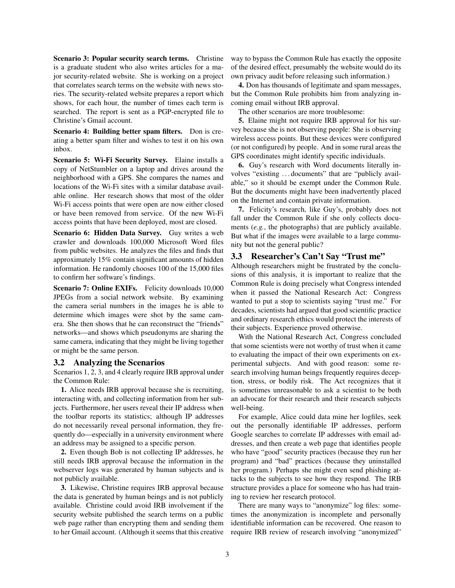Scenario 3: Popular security search terms. Christine is a graduate student who also writes articles for a major security-related website. She is working on a project that correlates search terms on the website with news stories. The security-related website prepares a report which shows, for each hour, the number of times each term is searched. The report is sent as a PGP-encrypted file to Christine's Gmail account.

Scenario 4: Building better spam filters. Don is creating a better spam filter and wishes to test it on his own inbox.

Scenario 5: Wi-Fi Security Survey. Elaine installs a copy of NetStumbler on a laptop and drives around the neighborhood with a GPS. She compares the names and locations of the Wi-Fi sites with a similar database available online. Her research shows that most of the older Wi-Fi access points that were open are now either closed or have been removed from service. Of the new Wi-Fi access points that have been deployed, most are closed.

Scenario 6: Hidden Data Survey. Guy writes a web crawler and downloads 100,000 Microsoft Word files from public websites. He analyzes the files and finds that approximately 15% contain significant amounts of hidden information. He randomly chooses 100 of the 15,000 files to confirm her software's findings.

Scenario 7: Online EXIFs. Felicity downloads 10,000 JPEGs from a social network website. By examining the camera serial numbers in the images he is able to determine which images were shot by the same camera. She then shows that he can reconstruct the "friends" networks—and shows which pseudonyms are sharing the same camera, indicating that they might be living together or might be the same person.

#### 3.2 Analyzing the Scenarios

Scenarios 1, 2, 3, and 4 clearly require IRB approval under the Common Rule:

1. Alice needs IRB approval because she is recruiting, interacting with, and collecting information from her subjects. Furthermore, her users reveal their IP address when the toolbar reports its statistics; although IP addresses do not necessarily reveal personal information, they frequently do—especially in a university environment where an address may be assigned to a specific person.

2. Even though Bob is not collecting IP addresses, he still needs IRB approval because the information in the webserver logs was generated by human subjects and is not publicly available.

3. Likewise, Christine requires IRB approval because the data is generated by human beings and is not publicly available. Christine could avoid IRB involvement if the security website published the search terms on a public web page rather than encrypting them and sending them to her Gmail account. (Although it seems that this creative way to bypass the Common Rule has exactly the opposite of the desired effect, presumably the website would do its own privacy audit before releasing such information.)

4. Don has thousands of legitimate and spam messages, but the Common Rule prohibits him from analyzing incoming email without IRB approval.

The other scenarios are more troublesome:

5. Elaine might not require IRB approval for his survey because she is not observing people: She is observing wireless access points. But these devices were configured (or not configured) by people. And in some rural areas the GPS coordinates might identify specific individuals.

6. Guy's research with Word documents literally involves "existing . . . documents" that are "publicly available," so it should be exempt under the Common Rule. But the documents might have been inadvertently placed on the Internet and contain private information.

7. Felicity's research, like Guy's, probably does not fall under the Common Rule if she only collects documents (*e.g.*, the photographs) that are publicly available. But what if the images were available to a large community but not the general public?

### 3.3 Researcher's Can't Say "Trust me"

Although researchers might be frustrated by the conclusions of this analysis, it is important to realize that the Common Rule is doing precisely what Congress intended when it passed the National Research Act: Congress wanted to put a stop to scientists saying "trust me." For decades, scientists had argued that good scientific practice and ordinary research ethics would protect the interests of their subjects. Experience proved otherwise.

With the National Research Act, Congress concluded that some scientists were not worthy of trust when it came to evaluating the impact of their own experiments on experimental subjects. And with good reason: some research involving human beings frequently requires deception, stress, or bodily risk. The Act recognizes that it is sometimes unreasonable to ask a scientist to be both an advocate for their research and their research subjects well-being.

For example, Alice could data mine her logfiles, seek out the personally identifiable IP addresses, perform Google searches to correlate IP addresses with email addresses, and then create a web page that identifies people who have "good" security practices (because they run her program) and "bad" practices (because they uninstalled her program.) Perhaps she might even send phishing attacks to the subjects to see how they respond. The IRB structure provides a place for someone who has had training to review her research protocol.

There are many ways to "anonymize" log files: sometimes the anonymization is incomplete and personally identifiable information can be recovered. One reason to require IRB review of research involving "anonymized"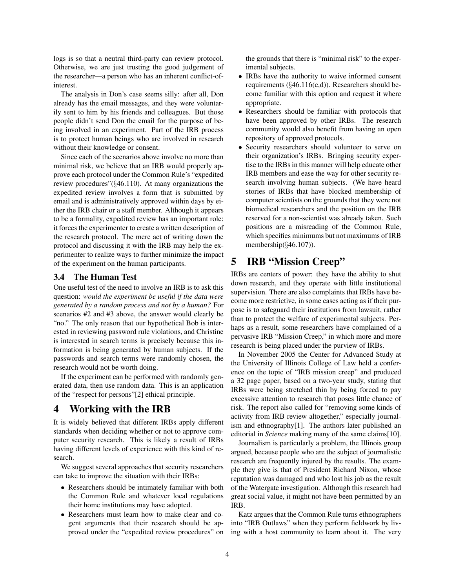logs is so that a neutral third-party can review protocol. Otherwise, we are just trusting the good judgement of the researcher—a person who has an inherent conflict-ofinterest.

The analysis in Don's case seems silly: after all, Don already has the email messages, and they were voluntarily sent to him by his friends and colleagues. But those people didn't send Don the email for the purpose of being involved in an experiment. Part of the IRB process is to protect human beings who are involved in research without their knowledge or consent.

Since each of the scenarios above involve no more than minimal risk, we believe that an IRB would properly approve each protocol under the Common Rule's "expedited review procedures"(§46.110). At many organizations the expedited review involves a form that is submitted by email and is administratively approved within days by either the IRB chair or a staff member. Although it appears to be a formality, expedited review has an important role: it forces the experimenter to create a written description of the research protocol. The mere act of writing down the protocol and discussing it with the IRB may help the experimenter to realize ways to further minimize the impact of the experiment on the human participants.

#### 3.4 The Human Test

One useful test of the need to involve an IRB is to ask this question: *would the experiment be useful if the data were generated by a random process and not by a human?* For scenarios #2 and #3 above, the answer would clearly be "no." The only reason that our hypothetical Bob is interested in reviewing password rule violations, and Christine is interested in search terms is precisely because this information is being generated by human subjects. If the passwords and search terms were randomly chosen, the research would not be worth doing.

If the experiment can be performed with randomly generated data, then use random data. This is an application of the "respect for persons"[2] ethical principle.

## 4 Working with the IRB

It is widely believed that different IRBs apply different standards when deciding whether or not to approve computer security research. This is likely a result of IRBs having different levels of experience with this kind of research.

We suggest several approaches that security researchers can take to improve the situation with their IRBs:

- Researchers should be intimately familiar with both the Common Rule and whatever local regulations their home institutions may have adopted.
- Researchers must learn how to make clear and cogent arguments that their research should be approved under the "expedited review procedures" on

the grounds that there is "minimal risk" to the experimental subjects.

- IRBs have the authority to waive informed consent requirements (§46.116(c,d)). Researchers should become familiar with this option and request it where appropriate.
- Researchers should be familiar with protocols that have been approved by other IRBs. The research community would also benefit from having an open repository of approved protocols.
- Security researchers should volunteer to serve on their organization's IRBs. Bringing security expertise to the IRBs in this manner will help educate other IRB members and ease the way for other security research involving human subjects. (We have heard stories of IRBs that have blocked membership of computer scientists on the grounds that they were not biomedical researchers and the position on the IRB reserved for a non-scientist was already taken. Such positions are a misreading of the Common Rule, which specifies minimums but not maximums of IRB membership(§46.107)).

## 5 IRB "Mission Creep"

IRBs are centers of power: they have the ability to shut down research, and they operate with little institutional supervision. There are also complaints that IRBs have become more restrictive, in some cases acting as if their purpose is to safeguard their institutions from lawsuit, rather than to protect the welfare of experimental subjects. Perhaps as a result, some researchers have complained of a pervasive IRB "Mission Creep," in which more and more research is being placed under the purview of IRBs.

In November 2005 the Center for Advanced Study at the University of Illinois College of Law held a conference on the topic of "IRB mission creep" and produced a 32 page paper, based on a two-year study, stating that IRBs were being stretched thin by being forced to pay excessive attention to research that poses little chance of risk. The report also called for "removing some kinds of activity from IRB review altogether," especially journalism and ethnography[1]. The authors later published an editorial in *Science* making many of the same claims[10].

Journalism is particularly a problem, the Illinois group argued, because people who are the subject of journalistic research are frequently injured by the results. The example they give is that of President Richard Nixon, whose reputation was damaged and who lost his job as the result of the Watergate investigation. Although this research had great social value, it might not have been permitted by an IRB.

Katz argues that the Common Rule turns ethnographers into "IRB Outlaws" when they perform fieldwork by living with a host community to learn about it. The very